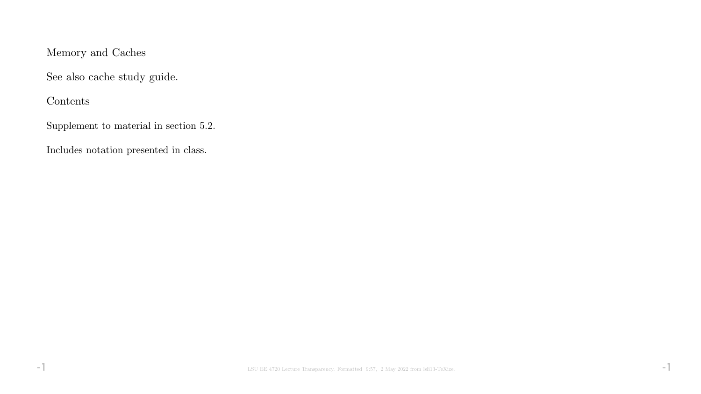# Memory and Caches

See also cache study guide.

Contents

Supplement to material in section 5.2.

Includes notation presented in class.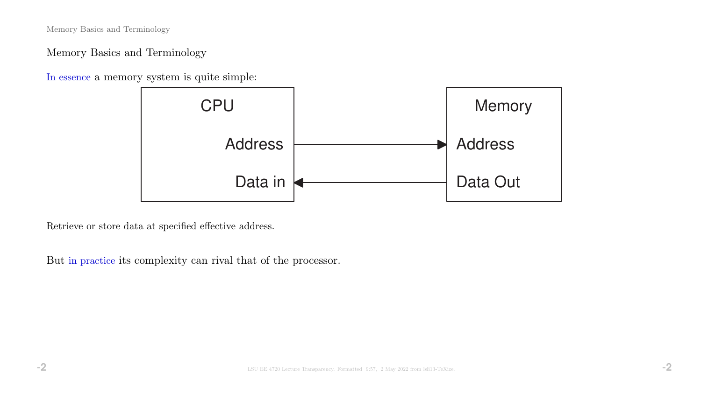Memory Basics and Terminology

Memory Basics and Terminology

In essence a memory system is quite simple:



Retrieve or store data at specified effective address.

But in practice its complexity can rival that of the processor.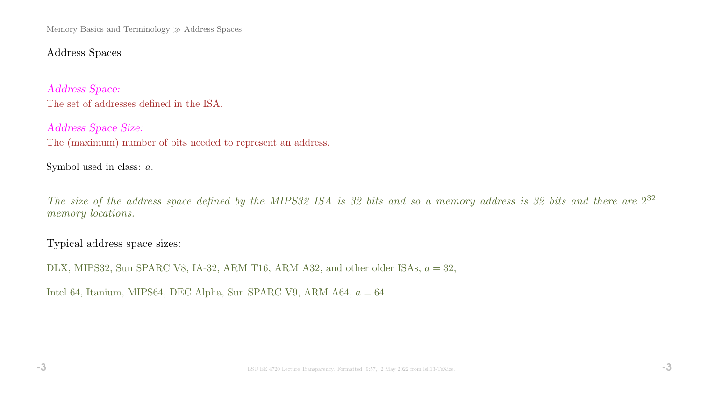Memory Basics and Terminology  $\gg$  Address Spaces

## Address Spaces

Address Space: The set of addresses defined in the ISA.

Address Space Size: The (maximum) number of bits needed to represent an address.

Symbol used in class: a.

The size of the address space defined by the MIPS32 ISA is 32 bits and so a memory address is 32 bits and there are  $2^{32}$ memory *locations*.

Typical address space sizes:

DLX, MIPS32, Sun SPARC V8, IA-32, ARM T16, ARM A32, and other older ISAs,  $a = 32$ ,

Intel 64, Itanium, MIPS64, DEC Alpha, Sun SPARC V9, ARM A64,  $a = 64$ .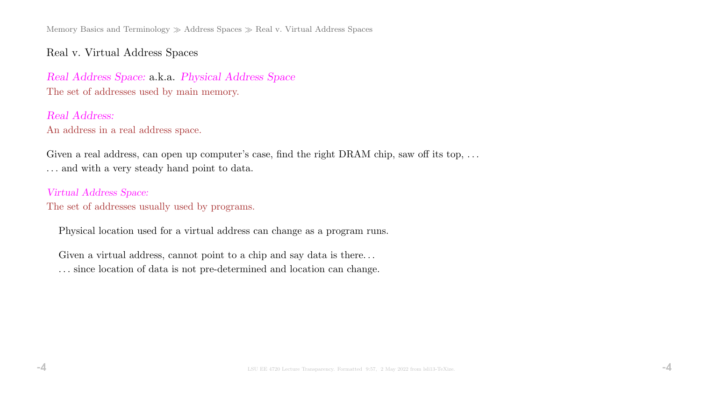Memory Basics and Terminology  $\gg$  Address Spaces  $\gg$  Real v. Virtual Address Spaces

## Real v. Virtual Address Spaces

Real Address Space: a.k.a. Physical Address Space The set of addresses used by main memory.

Real Address: An address in a real address space.

Given a real address, can open up computer's case, find the right DRAM chip, saw off its top, ... . . . and with a very steady hand point to data.

Virtual Address Space: The set of addresses usually used by programs.

Physical location used for a virtual address can change as a program runs.

Given a virtual address, cannot point to a chip and say data is there...

. . . since location of data is not pre-determined and location can change.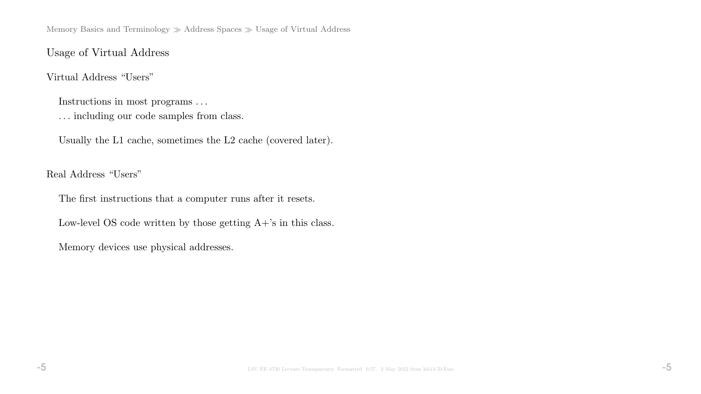Memory Basics and Terminology  $\gg$  Address Spaces  $\gg$  Usage of Virtual Address

### Usage of Virtual Address

### Virtual Address "Users"

Instructions in most programs . . .

. . . including our code samples from class.

Usually the L1 cache, sometimes the L2 cache (covered later).

Real Address "Users"

The first instructions that a computer runs after it resets.

Low-level OS code written by those getting  $A+$ 's in this class.

Memory devices use physical addresses.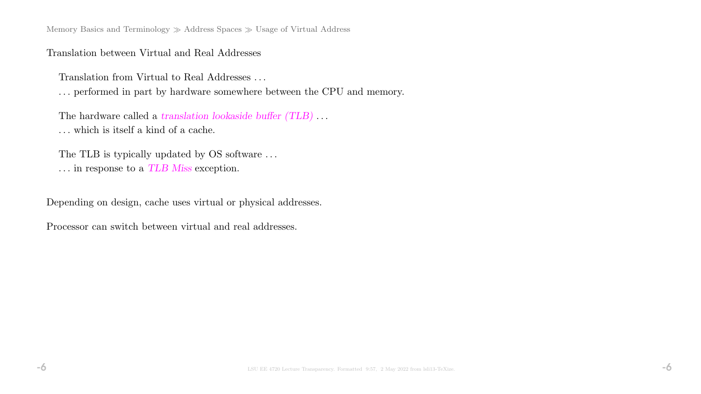Memory Basics and Terminology  $\gg$  Address Spaces  $\gg$  Usage of Virtual Address

### Translation between Virtual and Real Addresses

Translation from Virtual to Real Addresses . . .

. . . performed in part by hardware somewhere between the CPU and memory.

The hardware called a translation lookaside buffer (TLB)... . . . which is itself a kind of a cache.

The TLB is typically updated by OS software ...  $\ldots$  in response to a  $TLB$   $Miss$  exception.

Depending on design, cache uses virtual or physical addresses.

Processor can switch between virtual and real addresses.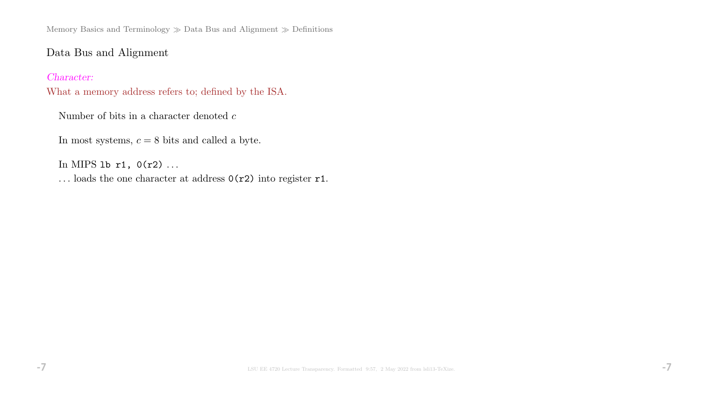Memory Basics and Terminology  $\gg$  Data Bus and Alignment  $\gg$  Definitions

# Data Bus and Alignment

### Character:

What a memory address refers to; defined by the ISA.

Number of bits in a character denoted  $\boldsymbol{c}$ 

In most systems,  $c = 8$  bits and called a byte.

In MIPS 1b  $r1$ ,  $0(r2)$  ...

... loads the one character at address  $0(r2)$  into register r1.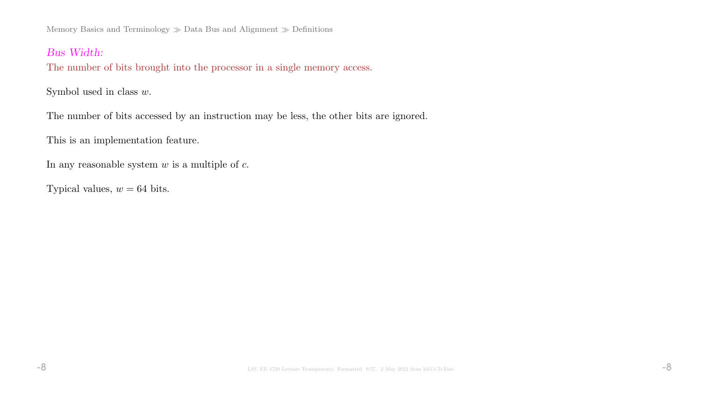Memory Basics and Terminology  $\gg$  Data Bus and Alignment  $\gg$  Definitions

### Bus Width:

The number of bits brought into the processor in a single memory access.

Symbol used in class  $w$ .

The number of bits accessed by an instruction may be less, the other bits are ignored.

This is an implementation feature.

In any reasonable system  $w$  is a multiple of  $c$ .

Typical values,  $w = 64$  bits.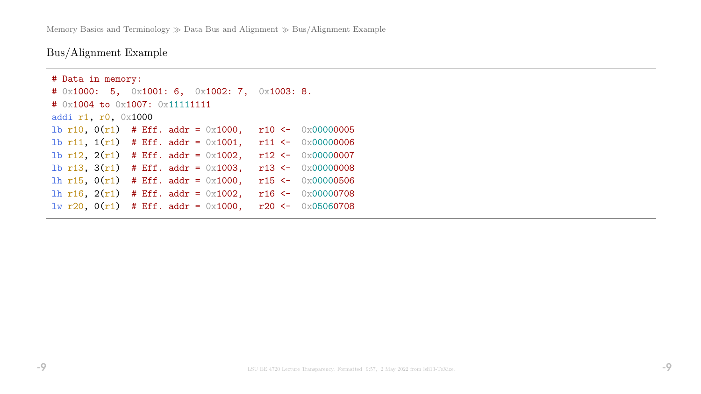Memory Basics and Terminology  $\gg$  Data Bus and Alignment  $\gg$  Bus/Alignment Example

Bus/Alignment Example

```
# Data in memory:
# 0x1000: 5, 0x1001: 6, 0x1002: 7, 0x1003: 8.
# 0x1004 to 0x1007: 0x11111111
addi r1, r0, 0x1000
1b r10, 0(r1) # Eff. addr = 0x1000, r10 <- 0x000000005
1b r11, 1(r1) # Eff. addr = 0x1001, r11 <- 0x000000006
1b r12, 2(r1) # Eff. addr = 0x1002, r12 <- 0x00000007
1b r13, 3(r1) # Eff. addr = 0x1003, r13 <- 0x000000008
lh r15, 0(r1) # Eff. addr = 0x1000, r15 <- 0x00000506
lh r16, 2(r1) # Eff. addr = 0x1002, r16 <- 0x00000708
lw r20, 0(r1) # Eff. addr = 0x1000, r20 <- 0x05060708
```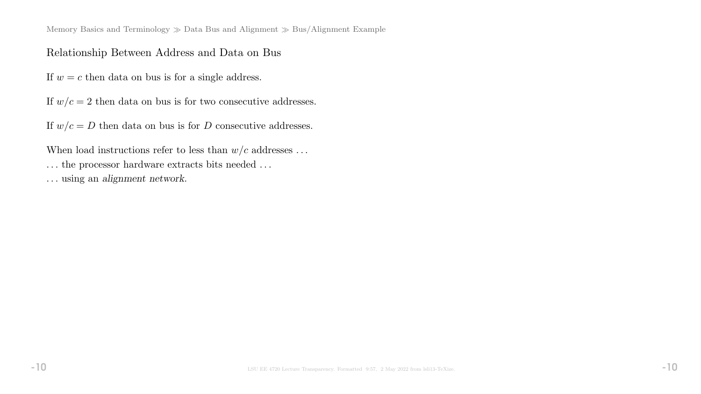Memory Basics and Terminology  $\gg$  Data Bus and Alignment  $\gg$  Bus/Alignment Example

### Relationship Between Address and Data on Bus

If  $w = c$  then data on bus is for a single address.

If  $w/c = 2$  then data on bus is for two consecutive addresses.

If  $w/c = D$  then data on bus is for D consecutive addresses.

When load instructions refer to less than  $w/c$  addresses ... ... the processor hardware extracts bits needed ... . . . using an alignment network.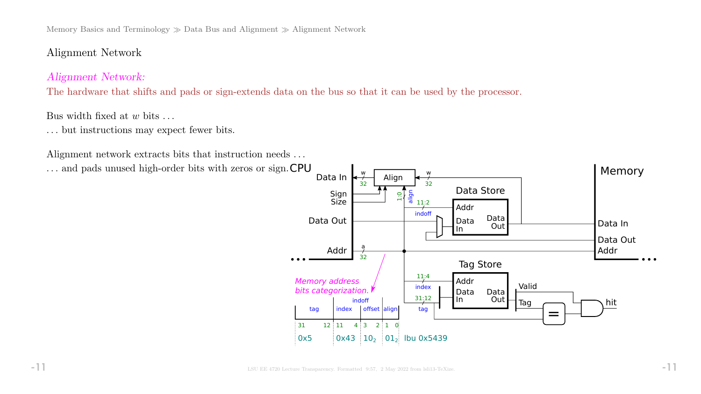Memory Basics and Terminology  $\gg$  Data Bus and Alignment  $\gg$  Alignment Network

# Alignment Network

## Alignment Network:

The hardware that shifts and pads or sign-extends data on the bus so that it can be used by the processor.

### Bus width fixed at  $w$  bits  $\dots$

. . . but instructions may expect fewer bits.

Alignment network extracts bits that instruction needs ...

... and pads unused high-order bits with zeros or sign. CPU

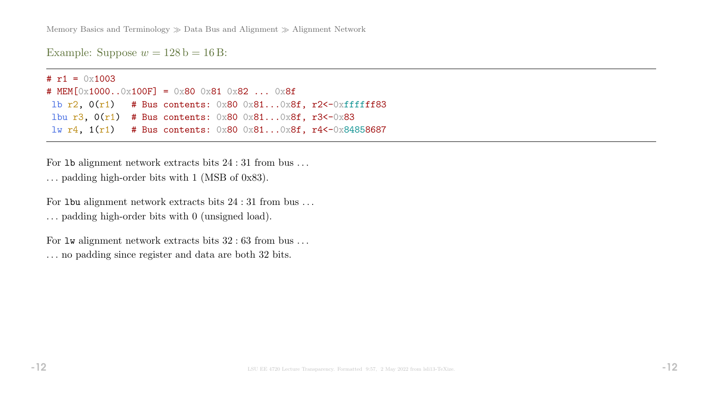Memory Basics and Terminology  $\gg$  Data Bus and Alignment  $\gg$  Alignment Network

Example: Suppose  $w = 128$  b = 16 B:

#  $r1 = 0 \times 1003$ # MEM[0x1000..0x100F] = 0x80 0x81 0x82 ... 0x8f lb  $r2$ ,  $0(r1)$  # Bus contents:  $0x80$   $0x81...0x8f$ ,  $r2$  <  $0xffffff83$ lbu r3,  $0(r1)$  # Bus contents:  $0x80$   $0x81...0x8f$ , r3<-0x83 lw r4, 1(r1) # Bus contents: 0x80 0x81...0x8f, r4<-0x84858687

For 1b alignment network extracts bits  $24:31$  from bus ... . . . padding high-order bits with 1 (MSB of 0x83).

For 1 bu alignment network extracts bits  $24:31$  from bus ... . . . padding high-order bits with 0 (unsigned load).

For  $\text{Iw}$  alignment network extracts bits  $32 : 63$  from bus ... . . . no padding since register and data are both 32 bits.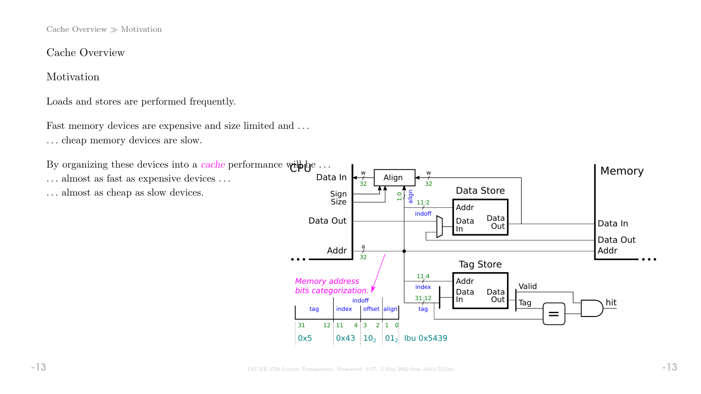Cache Overview  $\gg$  Motivation

Cache Overview

Motivation

Loads and stores are performed frequently.

Fast memory devices are expensive and size limited and ... . . . cheap memory devices are slow.

By organizing these devices into a *cache* performance  $\text{while } \omega \to \infty$ 

 $\dots$  almost as fast as expensive devices  $\dots$ 

. . . almost as cheap as slow devices.

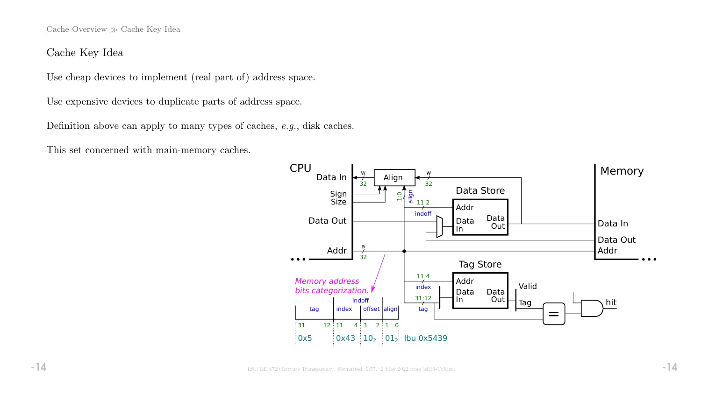Cache Overview  $\gg$  Cache Key Idea

### Cache Key Idea

Use cheap devices to implement (real part of) address space.

Use expensive devices to duplicate parts of address space.

Definition above can apply to many types of caches, e.g., disk caches.

This set concerned with main-memory caches.

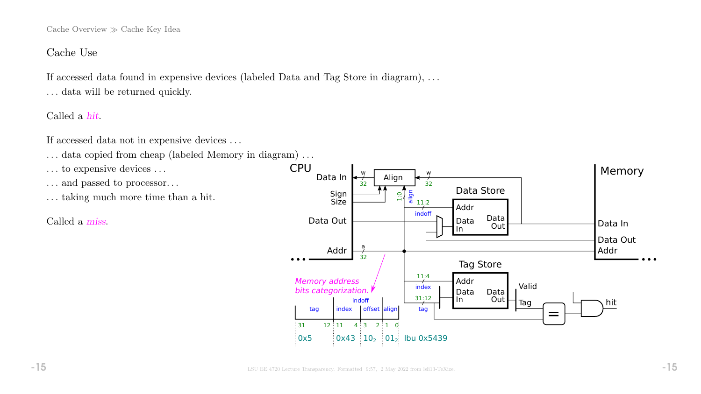Cache Overview  $\gg$  Cache Key Idea

### Cache Use

If accessed data found in expensive devices (labeled Data and Tag Store in diagram), . . . ... data will be returned quickly.

Called a hit.

If accessed data not in expensive devices . . .

- ... data copied from cheap (labeled Memory in diagram)...
- ... to expensive devices ...
- . . . and passed to processor. . .
- . . . taking much more time than a hit.

Called a miss.

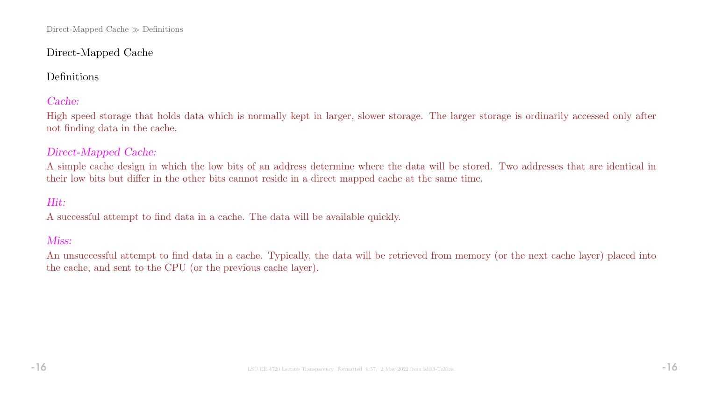# Direct-Mapped Cache

# Definitions

# Cache:

High speed storage that holds data which is normally kept in larger, slower storage. The larger storage is ordinarily accessed only after not finding data in the cache.

## Direct-Mapped Cache:

A simple cache design in which the low bits of an address determine where the data will be stored. Two addresses that are identical in their low bits but differ in the other bits cannot reside in a direct mapped cache at the same time.

# Hit:

A successful attempt to find data in a cache. The data will be available quickly.

### Miss:

An unsuccessful attempt to find data in a cache. Typically, the data will be retrieved from memory (or the next cache layer) placed into the cache, and sent to the CPU (or the previous cache layer).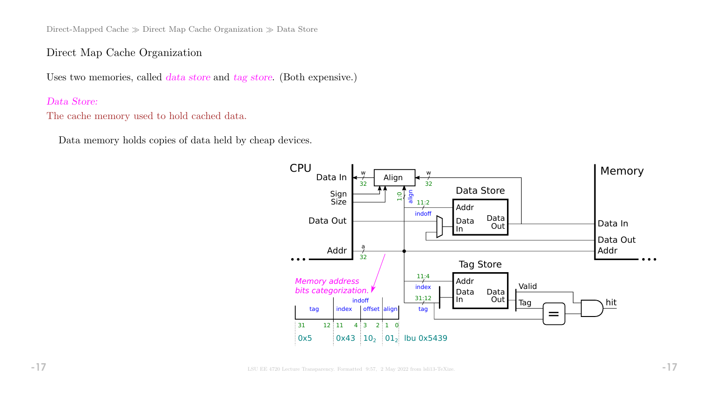Direct-Mapped Cache  $\gg$  Direct Map Cache Organization  $\gg$  Data Store

### Direct Map Cache Organization

Uses two memories, called *data store* and tag store. (Both expensive.)

### Data Store:

The cache memory used to hold cached data.

Data memory holds copies of data held by cheap devices.

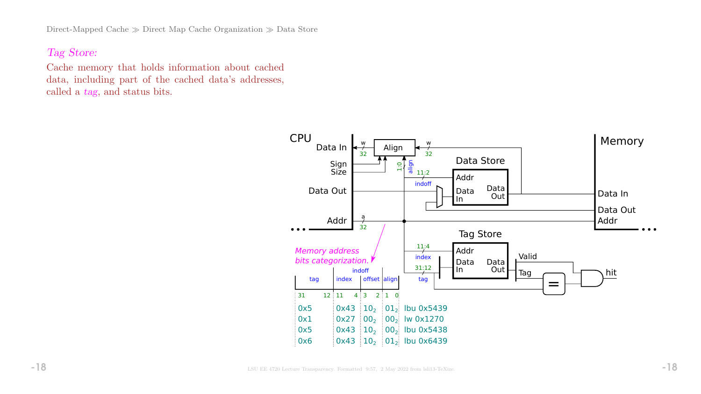Direct-Mapped Cache  $\gg$  Direct Map Cache Organization  $\gg$  Data Store

## Tag Store:

Cache memory that holds information about cached data, including part of the cached data's addresses, called a tag, and status bits.

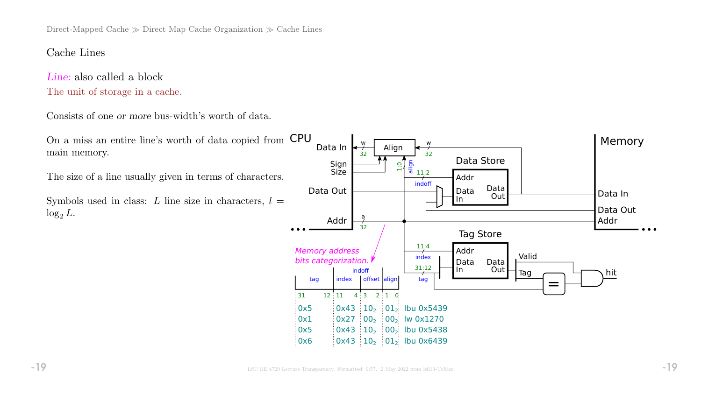Direct-Mapped Cache  $\gg$  Direct Map Cache Organization  $\gg$  Cache Lines

### Cache Lines

Line: also called a block The unit of storage in a cache.

Consists of one or more bus-width's worth of data.

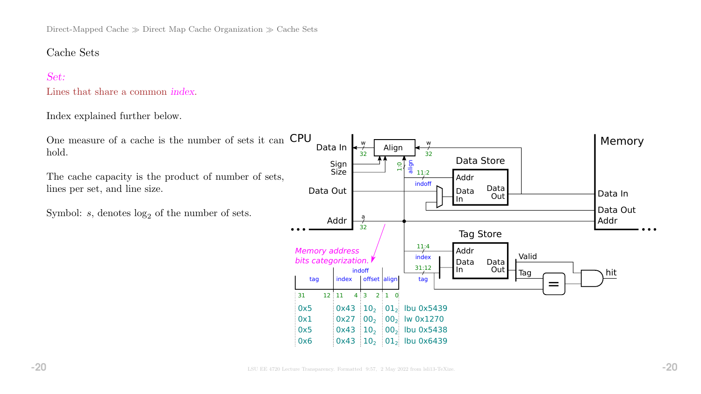Direct-Mapped Cache  $\gg$  Direct Map Cache Organization  $\gg$  Cache Sets

### Cache Sets

### Set:

Lines that share a common index.

#### Index explained further below.

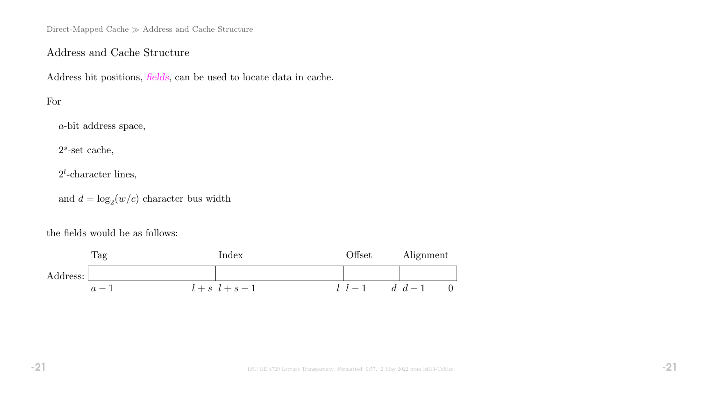Direct-Mapped Cache  $\gg$  Address and Cache Structure

## Address and Cache Structure

Address bit positions, fields, can be used to locate data in cache.

## For

a-bit address space,

 $2<sup>s</sup>$ -set cache,

 $2^l$ -character lines,

and  $d = \log_2(w/c)$  character bus width

the fields would be as follows:

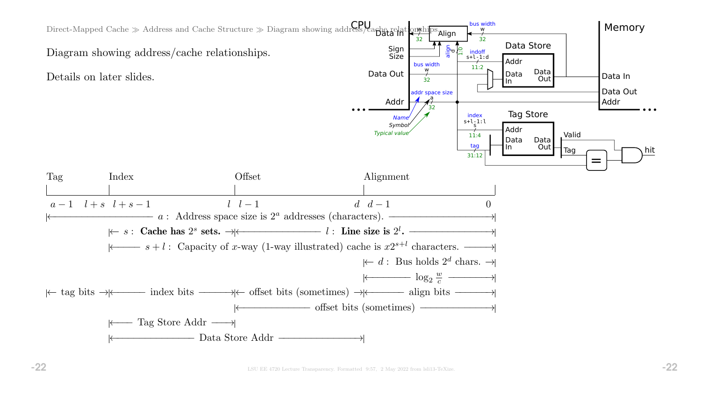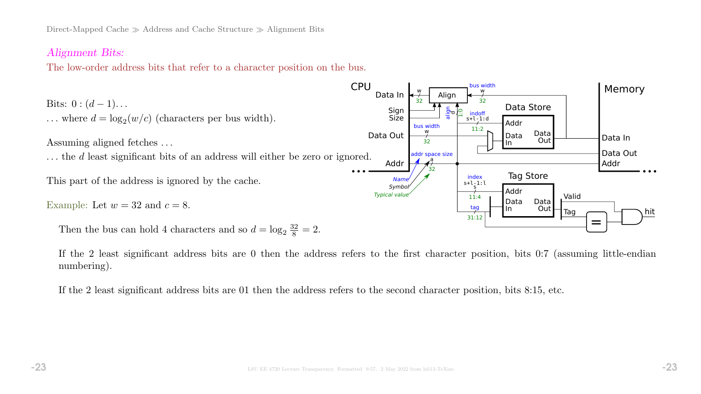### Alignment Bits:

The low-order address bits that refer to a character position on the bus.



If the 2 least significant address bits are 0 then the address refers to the first character position, bits 0:7 (assuming little-endian numbering).

If the 2 least significant address bits are 01 then the address refers to the second character position, bits 8:15, etc.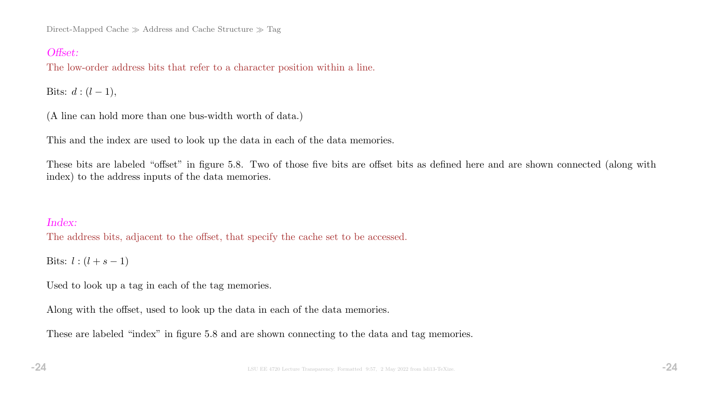Direct-Mapped Cache  $\gg$  Address and Cache Structure  $\gg$  Tag

## Offset:

The low-order address bits that refer to a character position within a line.

Bits:  $d : (l - 1)$ ,

(A line can hold more than one bus-width worth of data.)

This and the index are used to look up the data in each of the data memories.

These bits are labeled "offset" in figure 5.8. Two of those five bits are offset bits as defined here and are shown connected (along with index) to the address inputs of the data memories.

### Index:

The address bits, adjacent to the offset, that specify the cache set to be accessed.

Bits:  $l : (l + s - 1)$ 

Used to look up a tag in each of the tag memories.

Along with the offset, used to look up the data in each of the data memories.

These are labeled "index" in figure 5.8 and are shown connecting to the data and tag memories.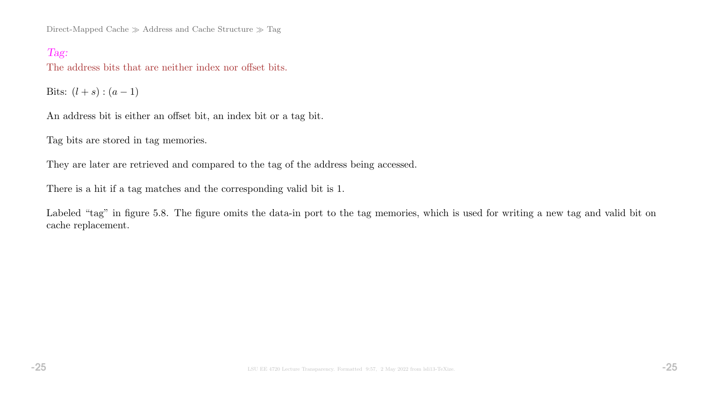Direct-Mapped Cache  $\gg$  Address and Cache Structure  $\gg$  Tag

### Tag:

The address bits that are neither index nor offset bits.

Bits:  $(l + s) : (a - 1)$ 

An address bit is either an offset bit, an index bit or a tag bit.

Tag bits are stored in tag memories.

They are later are retrieved and compared to the tag of the address being accessed.

There is a hit if a tag matches and the corresponding valid bit is 1.

Labeled "tag" in figure 5.8. The figure omits the data-in port to the tag memories, which is used for writing a new tag and valid bit on cache replacement.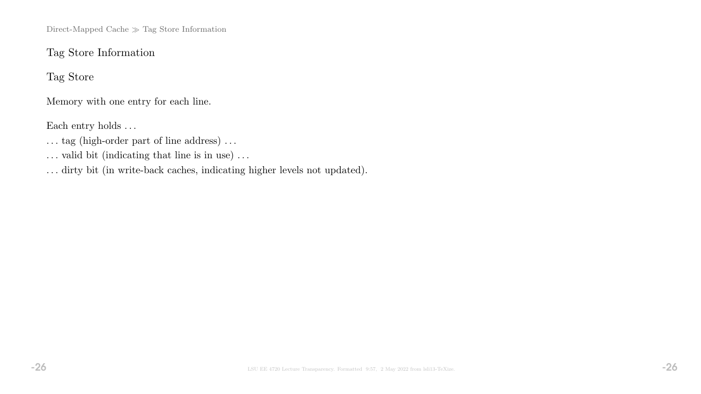Direct-Mapped Cache  $\gg$  Tag Store Information

# Tag Store Information

Tag Store

Memory with one entry for each line.

Each entry holds ...

 $\dots$  tag (high-order part of line address)  $\dots$ 

 $\ldots$  valid bit (indicating that line is in use)  $\ldots$ 

. . . dirty bit (in write-back caches, indicating higher levels not updated).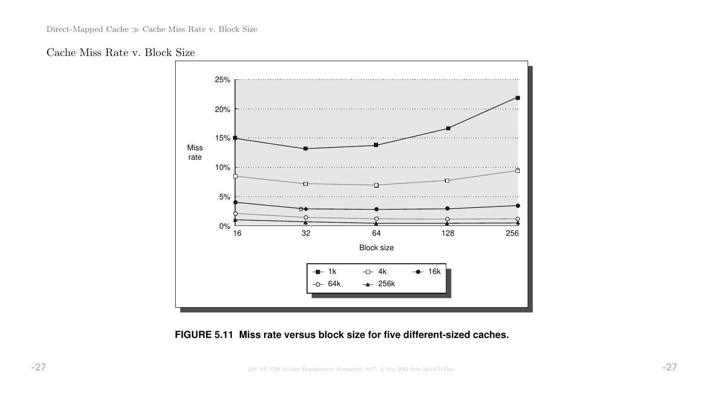



### **FIGURE 5.11 Miss rate versus block size for five different-sized caches.**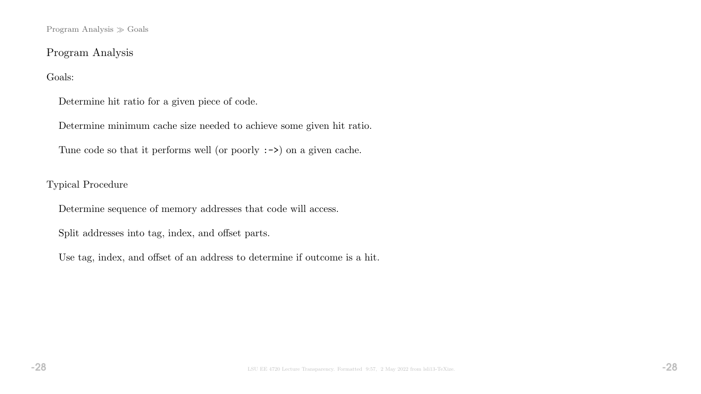Program Analysis  $\gg$  Goals

## Program Analysis

### Goals:

Determine hit ratio for a given piece of code.

Determine minimum cache size needed to achieve some given hit ratio.

Tune code so that it performs well (or poorly :->) on a given cache.

### Typical Procedure

Determine sequence of memory addresses that code will access.

Split addresses into tag, index, and offset parts.

Use tag, index, and offset of an address to determine if outcome is a hit.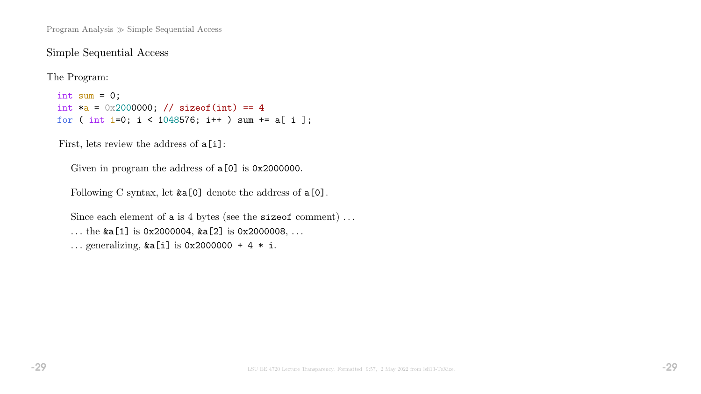Program Analysis  $\gg$  Simple Sequential Access

### Simple Sequential Access

The Program:

int sum =  $0$ ; int  $a = 0x2000000;$  // sizeof(int) == 4 for ( int i=0; i < 1048576; i++ ) sum += a[ i ];

First, lets review the address of  $a[i]$ :

Given in program the address of  $a[0]$  is 0x2000000.

Following C syntax, let  $&a[0]$  denote the address of  $a[0]$ .

Since each element of a is 4 bytes (see the size of comment)... ... the  $\&a[1]$  is 0x2000004,  $\&a[2]$  is 0x2000008, ... ... generalizing,  $&a[i]$  is 0x2000000 + 4  $*$  i.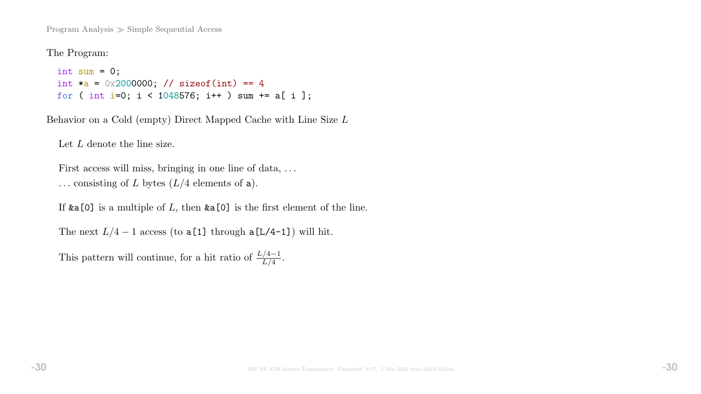Program Analysis  $\gg$  Simple Sequential Access

The Program:

```
int sum = 0;
int a = 0x2000000; // sizeof(int) == 4
for ( int i=0; i < 1048576; i++ ) sum += a[ i ];
```
Behavior on a Cold (empty) Direct Mapped Cache with Line Size L

Let L denote the line size.

First access will miss, bringing in one line of data, ... ... consisting of L bytes  $(L/4$  elements of a).

If  $\&a[0]$  is a multiple of L, then  $\&a[0]$  is the first element of the line.

The next  $L/4 - 1$  access (to a[1] through a[L/4-1]) will hit.

This pattern will continue, for a hit ratio of  $\frac{L/4-1}{L/4}$ .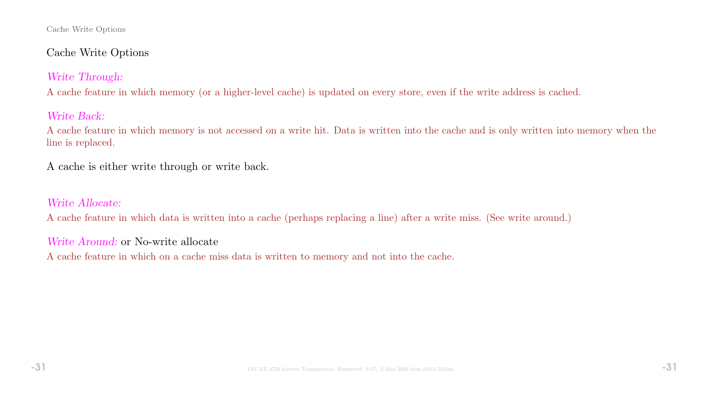#### Cache Write Options

# Cache Write Options

# Write Through:

A cache feature in which memory (or a higher-level cache) is updated on every store, even if the write address is cached.

# Write Back:

A cache feature in which memory is not accessed on a write hit. Data is written into the cache and is only written into memory when the line is replaced.

A cache is either write through or write back.

# Write Allocate:

A cache feature in which data is written into a cache (perhaps replacing a line) after a write miss. (See write around.)

## Write Around: or No-write allocate

A cache feature in which on a cache miss data is written to memory and not into the cache.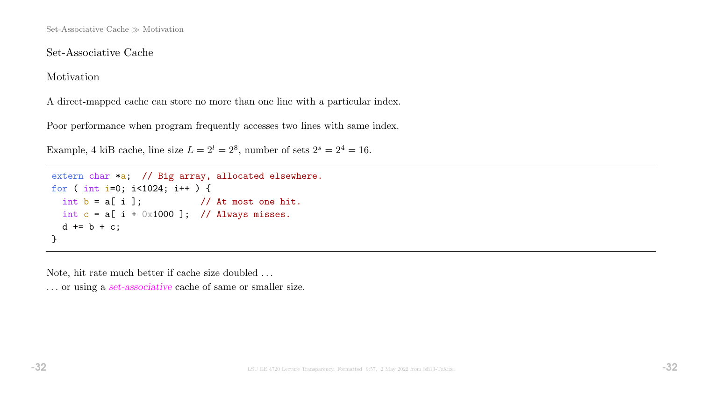## Set-Associative Cache

Motivation

A direct-mapped cache can store no more than one line with a particular index.

Poor performance when program frequently accesses two lines with same index.

Example, 4 kiB cache, line size  $L = 2^l = 2^8$ , number of sets  $2^s = 2^4 = 16$ .

```
extern char *a; // Big array, allocated elsewhere.
for ( int i=0; i<1024; i++ ) {
 int b = a[i]; // At most one hit.
 int c = a[i + 0x1000]; // Always misses.
 d == b + c;
}
```
Note, hit rate much better if cache size doubled . . .

... or using a set-associative cache of same or smaller size.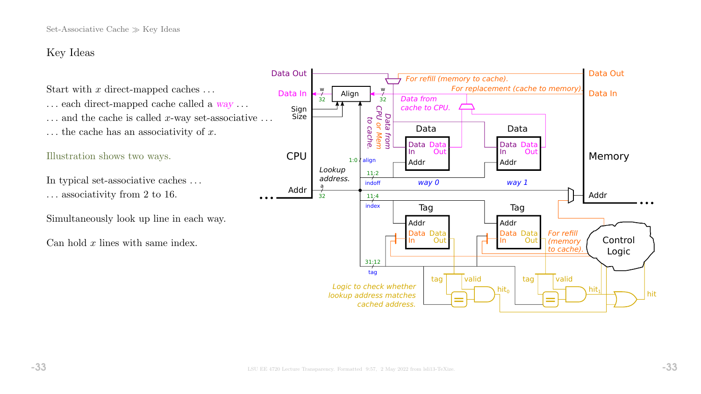# Key Ideas

Start with x direct-mapped caches  $\dots$ 

 $\ldots$  each direct-mapped cache called a  $way \ldots$  $\dots$  and the cache is called x-way set-associative  $\dots$  $\ldots$  the cache has an associativity of x.

### Illustration shows two ways.

In typical set-associative caches . . . . . . associativity from 2 to 16.

Simultaneously look up line in each way.

Can hold  $x$  lines with same index.

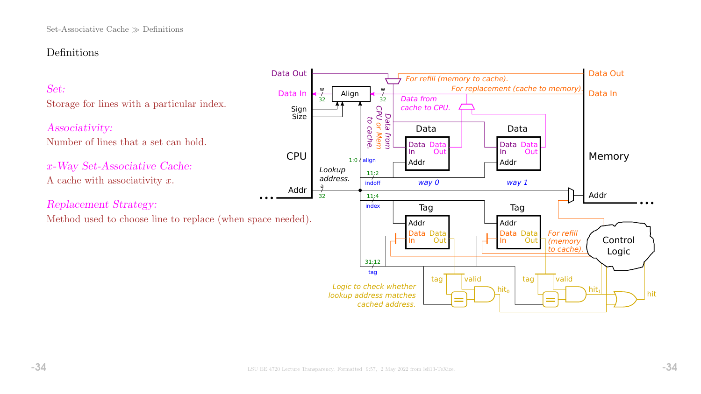# Definitions

# Set:

Storage for lines with a particular index.

### Associativity:

Number of lines that a set can hold.

x-Way Set-Associative Cache: A cache with associativity  $x$ .

Replacement Strategy:

Method used to choose line to replace (when space needed).

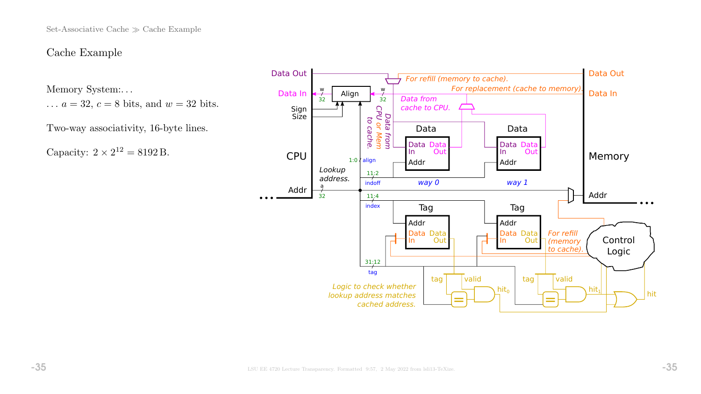Set-Associative Cache  $\gg$  Cache Example

### Cache Example

Memory System:. . .

 $\ldots a = 32, c = 8$  bits, and  $w = 32$  bits.

Two-way associativity, 16-byte lines.

Capacity:  $2 \times 2^{12} = 8192$  B.

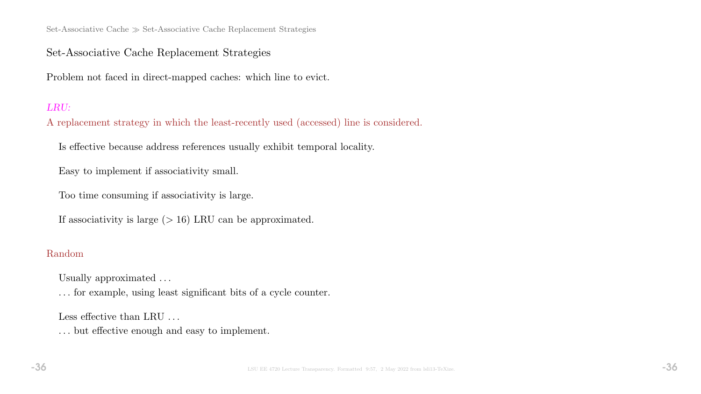Set-Associative Cache  $\gg$  Set-Associative Cache Replacement Strategies

## Set-Associative Cache Replacement Strategies

Problem not faced in direct-mapped caches: which line to evict.

### LRU:

A replacement strategy in which the least-recently used (accessed) line is considered.

Is effective because address references usually exhibit temporal locality.

Easy to implement if associativity small.

Too time consuming if associativity is large.

If associativity is large  $(> 16)$  LRU can be approximated.

### Random

Usually approximated . . .

. . . for example, using least significant bits of a cycle counter.

Less effective than LRU ...

. . . but effective enough and easy to implement.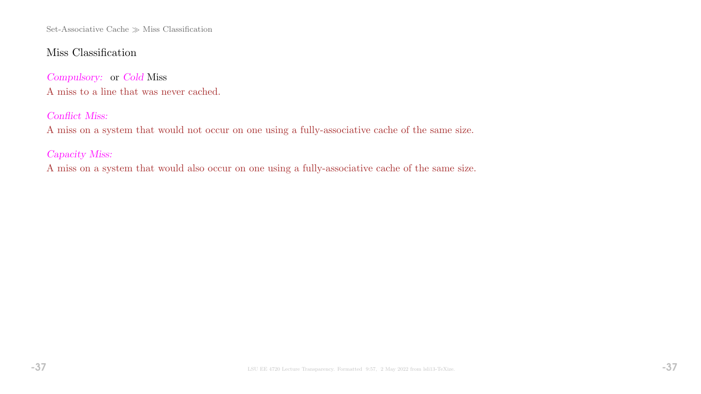Set-Associative Cache  $\gg$  Miss Classification

## Miss Classification

Compulsory: or Cold Miss A miss to a line that was never cached.

### Conflict Miss:

A miss on a system that would not occur on one using a fully-associative cache of the same size.

## Capacity Miss:

A miss on a system that would also occur on one using a fully-associative cache of the same size.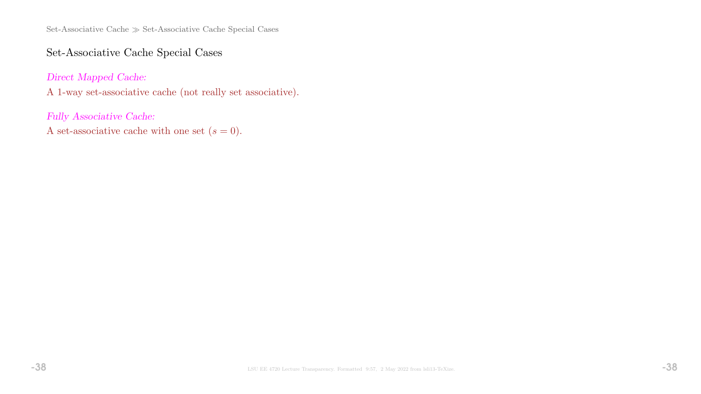Set-Associative Cache  $\gg$  Set-Associative Cache Special Cases

## Set-Associative Cache Special Cases

Direct Mapped Cache:

A 1-way set-associative cache (not really set associative).

Fully Associative Cache:

A set-associative cache with one set  $(s = 0)$ .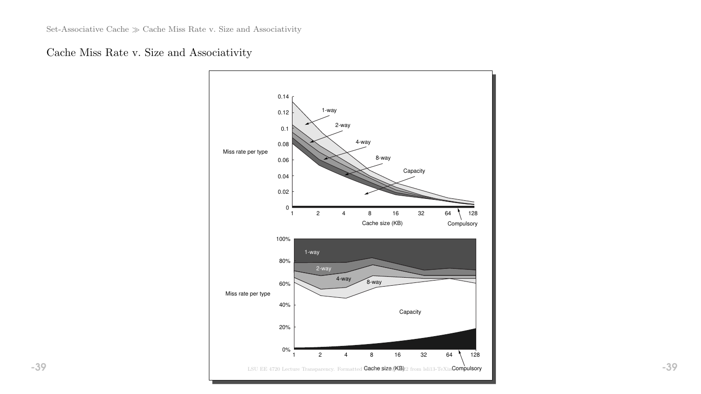# Cache Miss Rate v. Size and Associativity

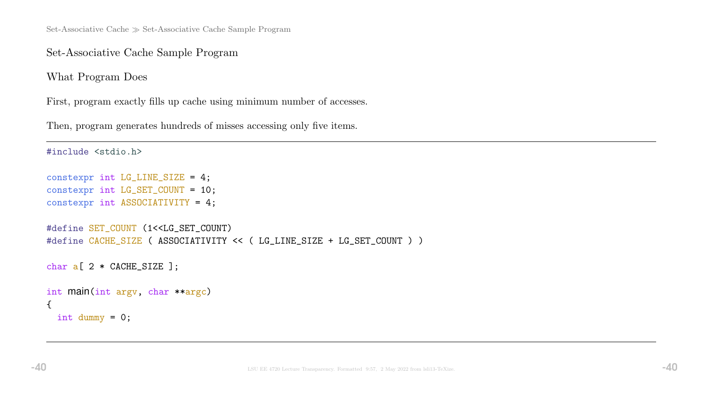Set-Associative Cache  $\gg$  Set-Associative Cache Sample Program

Set-Associative Cache Sample Program

What Program Does

First, program exactly fills up cache using minimum number of accesses.

Then, program generates hundreds of misses accessing only five items.

```
#include <stdio.h>
constexpr int LG_LINE_SIZE = 4;
constexpr int LG_SET_COUNT = 10;
constexpr int ASSOCIATIVITY = 4;
#define SET_COUNT (1<<LG_SET_COUNT)
#define CACHE_SIZE ( ASSOCIATIVITY << ( LG_LINE_SIZE + LG_SET_COUNT ) )
char a[ 2 * CACHE_SIZE ];
int main(int argv, char **argc)
{
  int dummy = 0;
```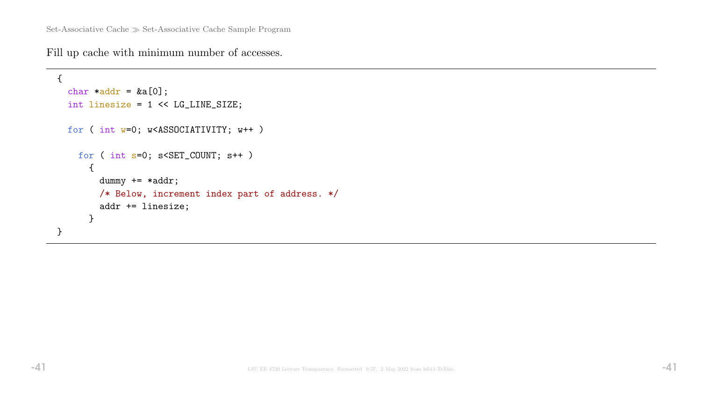Fill up cache with minimum number of accesses.

```
{
  char *addr = &a[0];int linesize = 1 << LG_LINE_SIZE;
 for ( int w=0; w<ASSOCIATIVITY; w++ )
   for ( int s=0; s<SET_COUNT; s++ )
      {
        dummy += *addr;
        /* Below, increment index part of address. */
        addr += linesize;
      }
}
```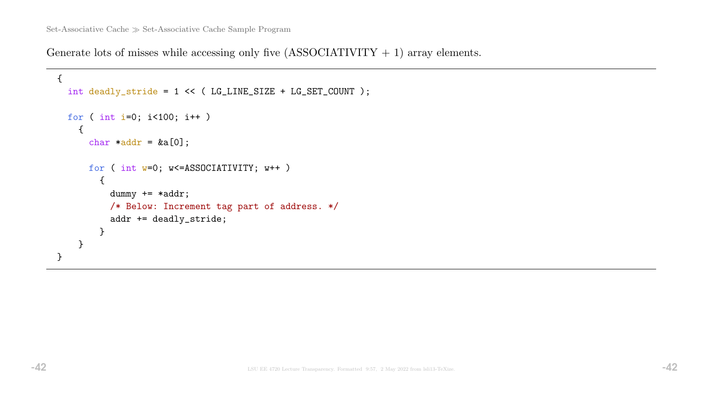Generate lots of misses while accessing only five  $(ASSOCIATIVITY + 1)$  array elements.

```
{
  int deadly_stride = 1 << ( LG_LINE_SIZE + LG_SET_COUNT );
 for ( int i=0; i<100; i++ )
    {
      char *addr = &a[0];for ( int w=0; w<=ASSOCIATIVITY; w++ )
        {
          dummy += *addr;
          /* Below: Increment tag part of address. */
          addr += deadly_stride;
        }
    }
}
```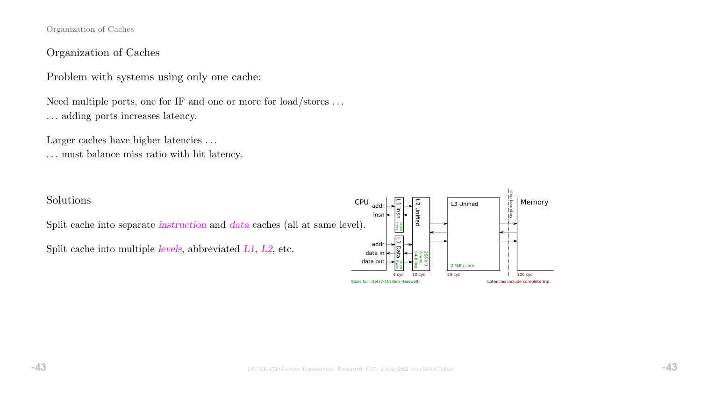Organization of Caches

### Organization of Caches

Problem with systems using only one cache:

Need multiple ports, one for IF and one or more for load/stores . . . . . . adding ports increases latency.

Larger caches have higher latencies ...

. . . must balance miss ratio with hit latency.

### Solutions

Split cache into separate instruction and data caches (all at same level).

Split cache into multiple levels, abbreviated L1, L2, etc.

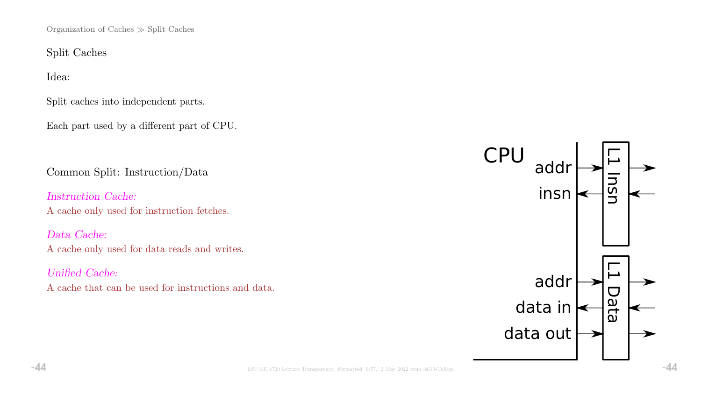Organization of Caches  $\gg$  Split Caches

Split Caches

Idea:

Split caches into independent parts.

Each part used by a different part of CPU.

Common Split: Instruction/Data

Instruction Cache: A cache only used for instruction fetches.

Data Cache: A cache only used for data reads and writes.

Unified Cache: A cache that can be used for instructions and data.

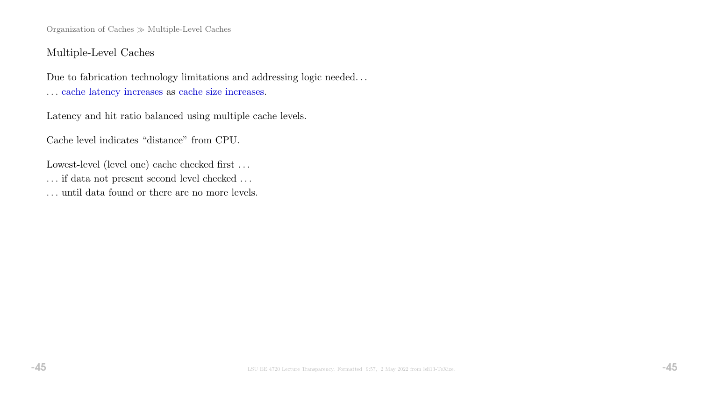Organization of Caches  $\gg$  Multiple-Level Caches

### Multiple-Level Caches

Due to fabrication technology limitations and addressing logic needed. . . . . . cache latency increases as cache size increases.

Latency and hit ratio balanced using multiple cache levels.

Cache level indicates "distance" from CPU.

Lowest-level (level one) cache checked first ...  $\ldots$  if data not present second level checked  $\ldots$ . . . until data found or there are no more levels.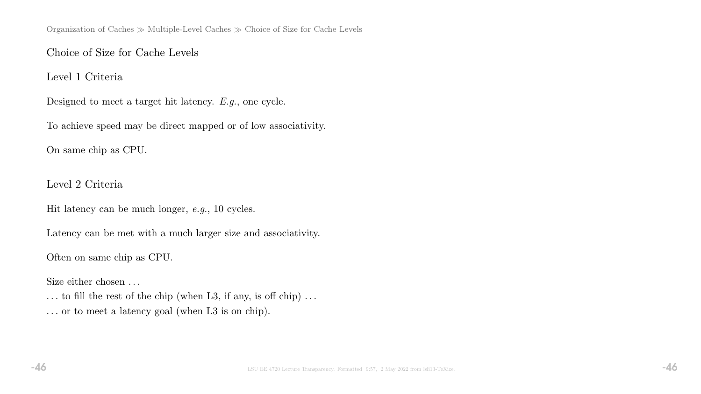# Choice of Size for Cache Levels

Level 1 Criteria

Designed to meet a target hit latency. E.g., one cycle.

To achieve speed may be direct mapped or of low associativity.

On same chip as CPU.

Level 2 Criteria

Hit latency can be much longer, e.g., 10 cycles.

Latency can be met with a much larger size and associativity.

Often on same chip as CPU.

Size either chosen ...

 $\ldots$  to fill the rest of the chip (when L3, if any, is off chip)  $\ldots$ . . . or to meet a latency goal (when L3 is on chip).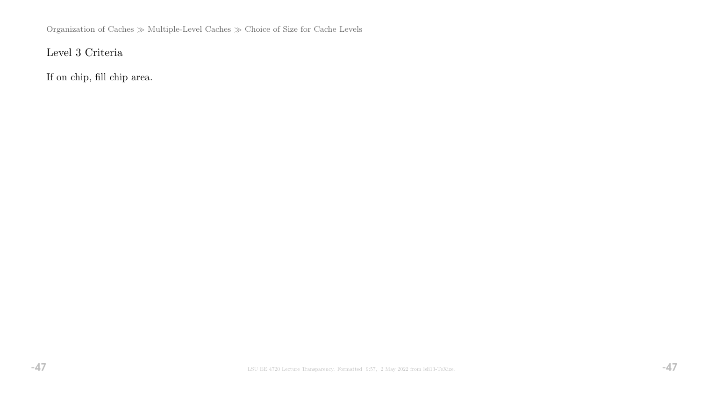Organization of Caches $\gg$  Multiple-Level Caches  $\gg$  Choice of Size for Cache Levels

# Level 3 Criteria

If on chip, fill chip area.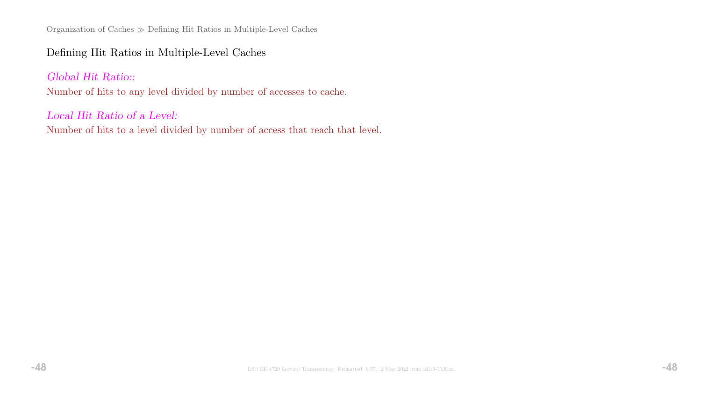Organization of Caches Defining Hit Ratios in Multiple-Level Caches

# Defining Hit Ratios in Multiple-Level Caches

## Global Hit Ratio::

Number of hits to any level divided by number of accesses to cache.

### Local Hit Ratio of a Level:

Number of hits to a level divided by number of access that reach that level.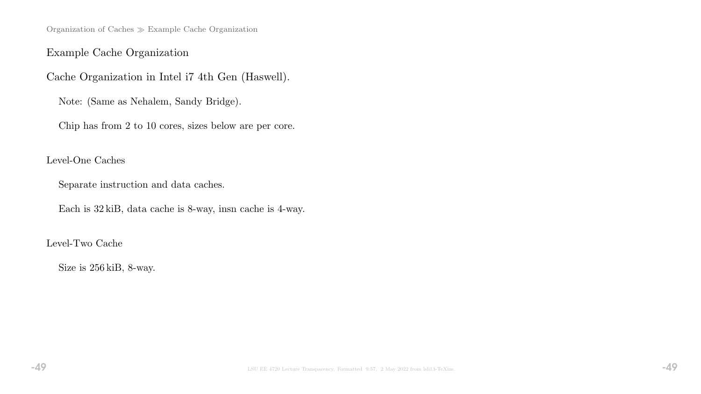Organization of Caches Example Cache Organization

## Example Cache Organization

Cache Organization in Intel i7 4th Gen (Haswell).

Note: (Same as Nehalem, Sandy Bridge).

Chip has from 2 to 10 cores, sizes below are per core.

### Level-One Caches

Separate instruction and data caches.

Each is 32 kiB, data cache is 8-way, insn cache is 4-way.

### Level-Two Cache

Size is 256 kiB, 8-way.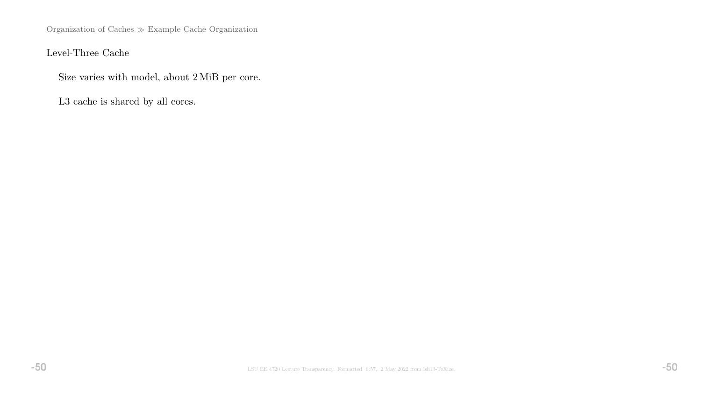Organization of Caches $\gg$  Example Cache Organization

Level-Three Cache

Size varies with model, about 2 MiB per core.

L3 cache is shared by all cores.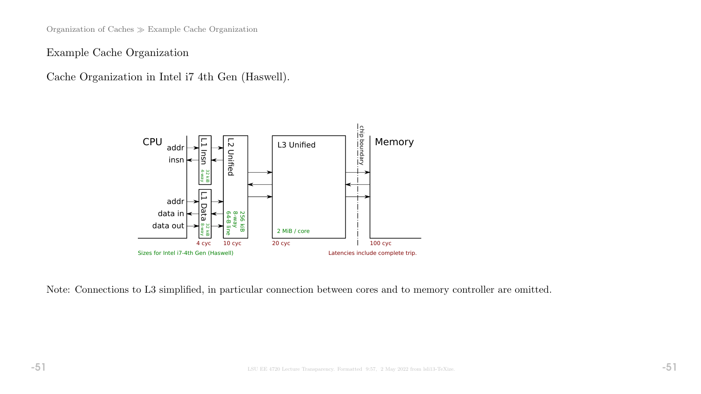Organization of Caches Example Cache Organization

Example Cache Organization

Cache Organization in Intel i7 4th Gen (Haswell).



Note: Connections to L3 simplified, in particular connection between cores and to memory controller are omitted.